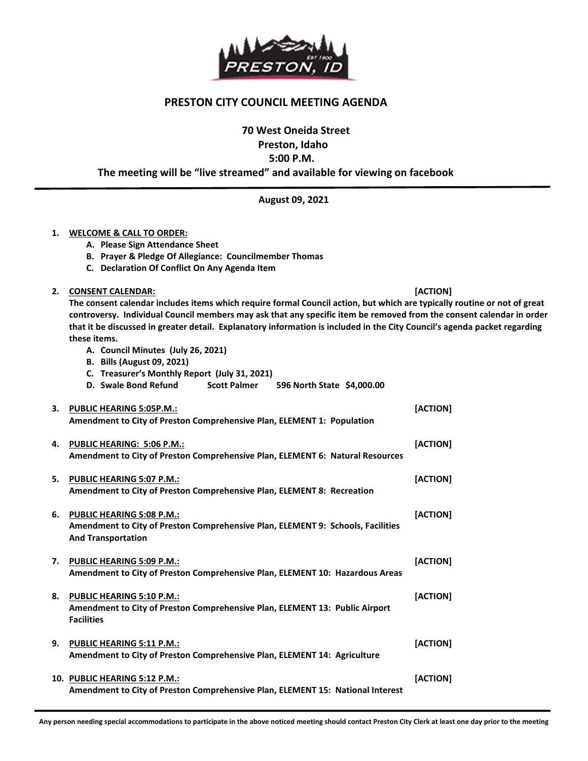

## PRESTON CITY COUNCIL MEETING AGENDA

70 West Oneida Street

Preston, Idaho

5:00 P.M.

The meeting will be "live streamed" and available for viewing on facebook

August 09, 2021

## 1. WELCOME & CALL TO ORDER:

- A. Please Sign Attendance Sheet
- B. Prayer & Pledge Of Allegiance: Councilmember Thomas
- C. Declaration Of Conflict On Any Agenda Item
- 2. CONSENT CALENDAR: [ACTION]

1

The consent calendar includes items which require formal Council action, but which are typically routine or not of great controversy. Individual Council members may ask that any specific item be removed from the consent calendar in order that it be discussed in greater detail. Explanatory information is included in the City Council's agenda packet regarding these items.

- A. Council Minutes (July 26, 2021)
- B. Bills (August 09, 2021)
- C. Treasurer's Monthly Report (July 31, 2021)

|    | D. Swale Bond Refund<br>Scott Palmer 596 North State \$4,000.00                                                                              |          |
|----|----------------------------------------------------------------------------------------------------------------------------------------------|----------|
|    | 3. PUBLIC HEARING 5:05P.M.:<br>Amendment to City of Preston Comprehensive Plan, ELEMENT 1: Population                                        | [ACTION] |
| 4. | <b>PUBLIC HEARING: 5:06 P.M.:</b><br>Amendment to City of Preston Comprehensive Plan, ELEMENT 6: Natural Resources                           | [ACTION] |
|    | 5. PUBLIC HEARING 5:07 P.M.:<br>Amendment to City of Preston Comprehensive Plan, ELEMENT 8: Recreation                                       | [ACTION] |
|    | 6. PUBLIC HEARING 5:08 P.M.:<br>Amendment to City of Preston Comprehensive Plan, ELEMENT 9: Schools, Facilities<br><b>And Transportation</b> | [ACTION] |
| 7. | <b>PUBLIC HEARING 5:09 P.M.:</b><br>Amendment to City of Preston Comprehensive Plan, ELEMENT 10: Hazardous Areas                             | [ACTION] |
|    | 8. PUBLIC HEARING 5:10 P.M.:<br>Amendment to City of Preston Comprehensive Plan, ELEMENT 13: Public Airport<br><b>Facilities</b>             | [ACTION] |
| 9. | <b>PUBLIC HEARING 5:11 P.M.:</b><br>Amendment to City of Preston Comprehensive Plan, ELEMENT 14: Agriculture                                 | [ACTION] |
|    | 10. PUBLIC HEARING 5:12 P.M.:<br>Amendment to City of Preston Comprehensive Plan, ELEMENT 15: National Interest                              | [ACTION] |

Any person needing special accommodations to participate in the above noticed meeting should contact Preston City Clerk at least one day prior to the meeting